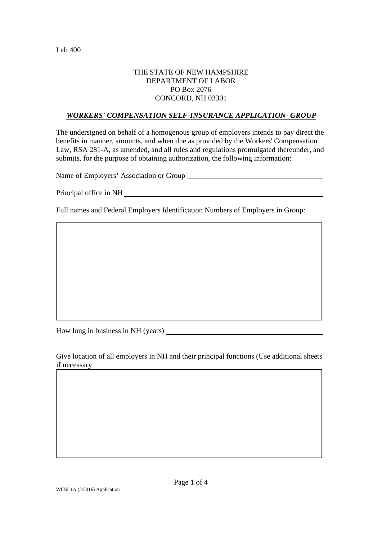## THE STATE OF NEW HAMPSHIRE DEPARTMENT OF LABOR PO Box 2076 CONCORD, NH 03301

## *WORKERS' COMPENSATION SELF-INSURANCE APPLICATION- GROUP*

The undersigned on behalf of a homogenous group of employers intends to pay direct the benefits in manner, amounts, and when due as provided by the Workers' Compensation Law, RSA 281-A, as amended, and all rules and regulations promulgated thereunder, and submits, for the purpose of obtaining authorization, the following information:

Name of Employers' Association or Group

Principal office in NH

Full names and Federal Employers Identification Numbers of Employers in Group:

How long in business in NH (years)

Give location of all employers in NH and their principal functions (Use additional sheets if necessary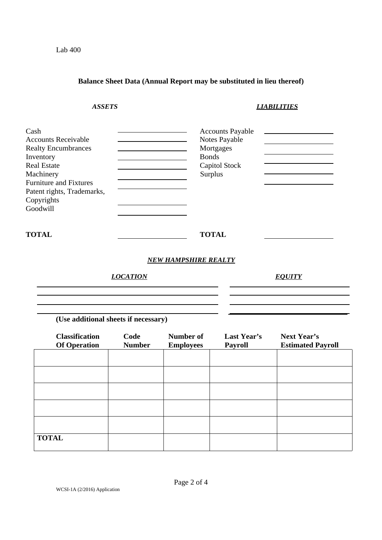WCSI-1A (2/2016) Application

**TOTAL** 

*ASSETS LIABILITIES*  Cash Accounts Payable Accounts Receivable Realty Encumbrances **Mortgages** Mortgages Inventory Bonds Real Estate Capitol Stock Machinery Surplus Furniture and Fixtures Patent rights, Trademarks, Copyrights Goodwill **TOTAL TOTAL**  *NEW HAMPSHIRE REALTY LOCATION EQUITY*  **(Use additional sheets if necessary) Classification Code Number of Last Year's Next Year's Of Operation Number Employees Payroll Estimated Payroll** 

**Balance Sheet Data (Annual Report may be substituted in lieu thereof)** 

Lab 400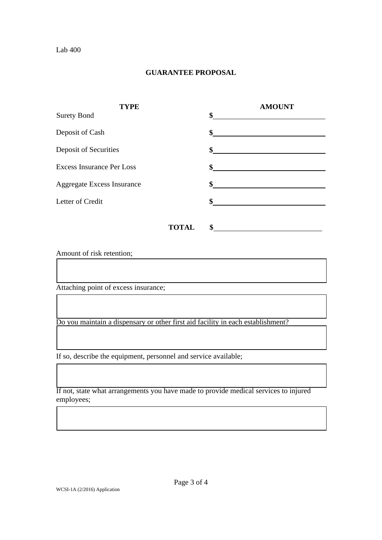## **GUARANTEE PROPOSAL**

| <b>TYPE</b>                       |                    | <b>AMOUNT</b>                                                                                                       |
|-----------------------------------|--------------------|---------------------------------------------------------------------------------------------------------------------|
| <b>Surety Bond</b>                | \$                 |                                                                                                                     |
| Deposit of Cash                   | $\mathbf{\$}$      | <u> 1980 - Jan James James, politik eta politik eta politik eta politik eta politik eta politik eta politik eta</u> |
| Deposit of Securities             | $\sim$             |                                                                                                                     |
| <b>Excess Insurance Per Loss</b>  | $\sim$             |                                                                                                                     |
| <b>Aggregate Excess Insurance</b> | \$                 |                                                                                                                     |
| Letter of Credit                  | \$                 |                                                                                                                     |
|                                   | \$<br><b>TOTAL</b> |                                                                                                                     |

Amount of risk retention;

Attaching point of excess insurance;

Do you maintain a dispensary or other first aid facility in each establishment?

If so, describe the equipment, personnel and service available;

If not, state what arrangements you have made to provide medical services to injured employees;